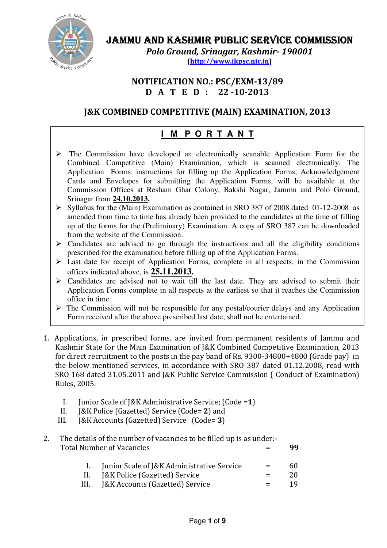

# JAMMU AND KASHMIR PUBLIC SERVICE COMMISSION

Polo Ground, Srinagar, Kashmir- 190001 (http://www.jkpsc.nic.in)

NOTIFICATION NO.: PSC/EXM-13/89 D A T E D : 22 -10-2013

# J&K COMBINED COMPETITIVE (MAIN) EXAMINATION, 2013

# **I M P O R T A N T**

- Application Forms, instructions for filling up the Application Forms, Acknowledgement  $\triangleright$  The Commission have developed an electronically scanable Application Form for the Combined Competitive (Main) Examination, which is scanned electronically. The Cards and Envelopes for submitting the Application Forms, will be available at the Commission Offices at Resham Ghar Colony, Bakshi Nagar, Jammu and Polo Ground, Srinagar from **24.10.2013.**
- $\triangleright$  Syllabus for the (Main) Examination as contained in SRO 387 of 2008 dated 01-12-2008 as amended from time to time has already been provided to the candidates at the time of filling up of the forms for the (Preliminary) Examination. A copy of SRO 387 can be downloaded from the website of the Commission.
- $\triangleright$  Candidates are advised to go through the instructions and all the eligibility conditions prescribed for the examination before filling up of the Application Forms.
- $\triangleright$  Last date for receipt of Application Forms, complete in all respects, in the Commission offices indicated above, is **25.11.2013.**
- Candidates are advised not to wait till the last date. They are advised to submit their Application Forms complete in all respects at the earliest so that it reaches the Commission office in time.
- $\triangleright$  The Commission will not be responsible for any postal/courier delays and any Application Form received after the above prescribed last date, shall not be entertained.
- 1. Applications, in prescribed forms, are invited from permanent residents of Jammu and Kashmir State for the Main Examination of J&K Combined Competitive Examination, 2013 for direct recruitment to the posts in the pay band of Rs. 9300-34800+4800 (Grade pay) in the below mentioned services, in accordance with SRO 387 dated 01.12.2008, read with SRO 168 dated 31.05.2011 and J&K Public Service Commission ( Conduct of Examination) Rules, 2005.
	- I. Junior Scale of J&K Administrative Service; (Code =1)
	- II. J&K Police (Gazetted) Service (Code= 2) and
	- III. J&K Accounts (Gazetted) Service (Code= 3)
- 2. The details of the number of vacancies to be filled up is as under:- Total Number of Vacancies  $\qquad \qquad = \qquad \qquad$ 99

| Junior Scale of J&K Administrative Service | $=$     | 60. |
|--------------------------------------------|---------|-----|
| II. [&K Police (Gazetted) Service          | $=$     | 20  |
| III. J&K Accounts (Gazetted) Service       | $=$ $-$ | 19. |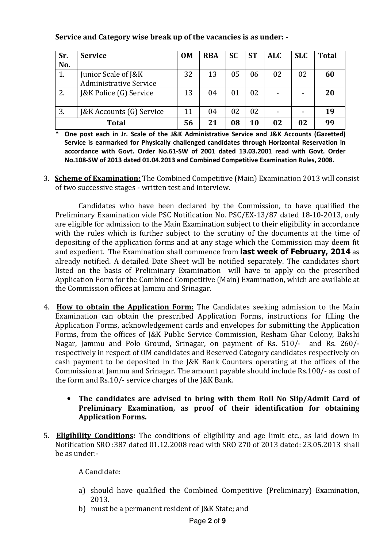| Service and Category wise break up of the vacancies is as under: - |  |  |
|--------------------------------------------------------------------|--|--|
|                                                                    |  |  |

| Sr. | <b>Service</b>                | <b>OM</b> | <b>RBA</b> | <b>SC</b> | <b>ST</b> | <b>ALC</b> | <b>SLC</b> | <b>Total</b> |
|-----|-------------------------------|-----------|------------|-----------|-----------|------------|------------|--------------|
| No. |                               |           |            |           |           |            |            |              |
| 1.  | Junior Scale of J&K           | 32        | 13         | 05        | 06        | 02         | 02         | 60           |
|     | <b>Administrative Service</b> |           |            |           |           |            |            |              |
| 2.  | J&K Police (G) Service        | 13        | 04         | 01        | 02        |            |            | 20           |
| 3.  | J&K Accounts (G) Service      | 11        | 04         | 02        | 02        |            |            | 19           |
|     | <b>Total</b>                  | 56        | 21         | 08        | 10        | 02         | 02         | 99           |

\* One post each in Jr. Scale of the J&K Administrative Service and J&K Accounts (Gazetted) Service is earmarked for Physically challenged candidates through Horizontal Reservation in accordance with Govt. Order No.61-SW of 2001 dated 13.03.2001 read with Govt. Order No.108-SW of 2013 dated 01.04.2013 and Combined Competitive Examination Rules, 2008.

3. Scheme of Examination: The Combined Competitive (Main) Examination 2013 will consist of two successive stages - written test and interview.

Candidates who have been declared by the Commission, to have qualified the Preliminary Examination vide PSC Notification No. PSC/EX-13/87 dated 18-10-2013, only are eligible for admission to the Main Examination subject to their eligibility in accordance with the rules which is further subject to the scrutiny of the documents at the time of depositing of the application forms and at any stage which the Commission may deem fit and expedient. The Examination shall commence from **last week of February, 2014** as already notified. A detailed Date Sheet will be notified separately. The candidates short listed on the basis of Preliminary Examination will have to apply on the prescribed Application Form for the Combined Competitive (Main) Examination, which are available at the Commission offices at Jammu and Srinagar.

- 4. How to obtain the Application Form: The Candidates seeking admission to the Main Examination can obtain the prescribed Application Forms, instructions for filling the Application Forms, acknowledgement cards and envelopes for submitting the Application Forms, from the offices of J&K Public Service Commission, Resham Ghar Colony, Bakshi Nagar, Jammu and Polo Ground, Srinagar, on payment of Rs. 510/- and Rs. 260/ respectively in respect of OM candidates and Reserved Category candidates respectively on cash payment to be deposited in the J&K Bank Counters operating at the offices of the Commission at Jammu and Srinagar. The amount payable should include Rs.100/- as cost of the form and Rs.10/- service charges of the J&K Bank.
	- The candidates are advised to bring with them Roll No Slip/Admit Card of Preliminary Examination, as proof of their identification for obtaining Application Forms.
- 5. Eligibility Conditions: The conditions of eligibility and age limit etc., as laid down in Notification SRO :387 dated 01.12.2008 read with SRO 270 of 2013 dated: 23.05.2013 shall be as under:-

A Candidate:

- a) should have qualified the Combined Competitive (Preliminary) Examination, 2013.
- b) must be a permanent resident of J&K State; and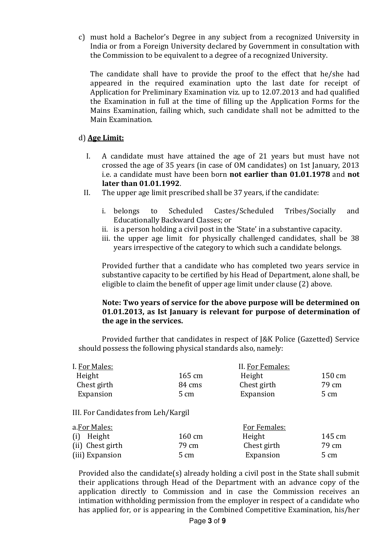c) must hold a Bachelor's Degree in any subject from a recognized University in India or from a Foreign University declared by Government in consultation with the Commission to be equivalent to a degree of a recognized University.

The candidate shall have to provide the proof to the effect that he/she had appeared in the required examination upto the last date for receipt of Application for Preliminary Examination viz. up to 12.07.2013 and had qualified the Examination in full at the time of filling up the Application Forms for the Mains Examination, failing which, such candidate shall not be admitted to the Main Examination.

#### d) Age Limit:

- I. A candidate must have attained the age of 21 years but must have not crossed the age of 35 years (in case of OM candidates) on 1st January, 2013 i.e. a candidate must have been born not earlier than 01.01.1978 and not later than 01.01.1992.
- II. The upper age limit prescribed shall be 37 years, if the candidate:
	- i. belongs to Scheduled Castes/Scheduled Tribes/Socially and Educationally Backward Classes; or
	- ii. is a person holding a civil post in the 'State' in a substantive capacity.
	- iii. the upper age limit for physically challenged candidates, shall be 38 years irrespective of the category to which such a candidate belongs.

 Provided further that a candidate who has completed two years service in substantive capacity to be certified by his Head of Department, alone shall, be eligible to claim the benefit of upper age limit under clause (2) above.

#### Note: Two years of service for the above purpose will be determined on 01.01.2013, as Ist January is relevant for purpose of determination of the age in the services.

Provided further that candidates in respect of J&K Police (Gazetted) Service should possess the following physical standards also, namely:

| I. For Males: |        | II. For Females: |        |
|---------------|--------|------------------|--------|
| Height        | 165 cm | Height           | 150 cm |
| Chest girth   | 84 cms | Chest girth      | 79 cm  |
| Expansion     | 5 cm   | Expansion        | 5 cm   |

#### III. For Candidates from Leh/Kargil

| a.For Males:     |                  | For Females: |        |  |  |
|------------------|------------------|--------------|--------|--|--|
| (i) Height       | $160 \text{ cm}$ | Height       | 145 cm |  |  |
| (ii) Chest girth | 79 cm            | Chest girth  | 79 cm  |  |  |
| (iii) Expansion  | 5 cm             | Expansion    | 5 cm   |  |  |

Provided also the candidate(s) already holding a civil post in the State shall submit their applications through Head of the Department with an advance copy of the application directly to Commission and in case the Commission receives an intimation withholding permission from the employer in respect of a candidate who has applied for, or is appearing in the Combined Competitive Examination, his/her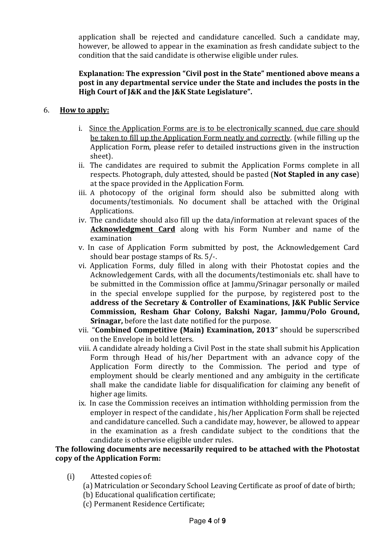application shall be rejected and candidature cancelled. Such a candidate may, however, be allowed to appear in the examination as fresh candidate subject to the condition that the said candidate is otherwise eligible under rules.

## Explanation: The expression "Civil post in the State" mentioned above means a post in any departmental service under the State and includes the posts in the High Court of J&K and the J&K State Legislature".

## 6. How to apply:

- i. Since the Application Forms are is to be electronically scanned, due care should be taken to fill up the Application Form neatly and correctly. (while filling up the Application Form, please refer to detailed instructions given in the instruction sheet).
- ii. The candidates are required to submit the Application Forms complete in all respects. Photograph, duly attested, should be pasted (Not Stapled in any case) at the space provided in the Application Form.
- iii. A photocopy of the original form should also be submitted along with documents/testimonials. No document shall be attached with the Original Applications.
- iv. The candidate should also fill up the data/information at relevant spaces of the Acknowledgment Card along with his Form Number and name of the examination
- v. In case of Application Form submitted by post, the Acknowledgement Card should bear postage stamps of Rs. 5/-.
- vi. Application Forms, duly filled in along with their Photostat copies and the Acknowledgement Cards, with all the documents/testimonials etc. shall have to be submitted in the Commission office at Jammu/Srinagar personally or mailed in the special envelope supplied for the purpose, by registered post to the address of the Secretary & Controller of Examinations, J&K Public Service Commission, Resham Ghar Colony, Bakshi Nagar, Jammu/Polo Ground, Srinagar, before the last date notified for the purpose.
- vii. "Combined Competitive (Main) Examination, 2013" should be superscribed on the Envelope in bold letters.
- viii. A candidate already holding a Civil Post in the state shall submit his Application Form through Head of his/her Department with an advance copy of the Application Form directly to the Commission. The period and type of employment should be clearly mentioned and any ambiguity in the certificate shall make the candidate liable for disqualification for claiming any benefit of higher age limits.
- ix. In case the Commission receives an intimation withholding permission from the employer in respect of the candidate , his/her Application Form shall be rejected and candidature cancelled. Such a candidate may, however, be allowed to appear in the examination as a fresh candidate subject to the conditions that the candidate is otherwise eligible under rules.

#### The following documents are necessarily required to be attached with the Photostat copy of the Application Form:

- (i) Attested copies of:
	- (a) Matriculation or Secondary School Leaving Certificate as proof of date of birth;
	- (b) Educational qualification certificate;
	- (c) Permanent Residence Certificate;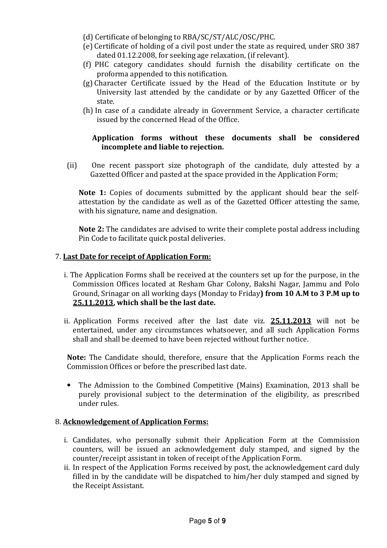- (d) Certificate of belonging to RBA/SC/ST/ALC/OSC/PHC.
- (e) Certificate of holding of a civil post under the state as required, under SRO 387 dated 01.12.2008, for seeking age relaxation, (if relevant).
- (f) PHC category candidates should furnish the disability certificate on the proforma appended to this notification.
- (g) Character Certificate issued by the Head of the Education Institute or by University last attended by the candidate or by any Gazetted Officer of the state.
- (h) In case of a candidate already in Government Service, a character certificate issued by the concerned Head of the Office.

## Application forms without these documents shall be considered incomplete and liable to rejection.

(ii) One recent passport size photograph of the candidate, duly attested by a Gazetted Officer and pasted at the space provided in the Application Form;

Note 1: Copies of documents submitted by the applicant should bear the selfattestation by the candidate as well as of the Gazetted Officer attesting the same, with his signature, name and designation.

Note 2: The candidates are advised to write their complete postal address including Pin Code to facilitate quick postal deliveries.

## 7. Last Date for receipt of Application Form:

- i. The Application Forms shall be received at the counters set up for the purpose, in the Commission Offices located at Resham Ghar Colony, Bakshi Nagar, Jammu and Polo Ground, Srinagar on all working days (Monday to Friday) from 10 A.M to 3 P.M up to 25.11.2013, which shall be the last date.
- ii. Application Forms received after the last date viz. 25.11.2013 will not be entertained, under any circumstances whatsoever, and all such Application Forms shall and shall be deemed to have been rejected without further notice.

Note: The Candidate should, therefore, ensure that the Application Forms reach the Commission Offices or before the prescribed last date.

• The Admission to the Combined Competitive (Mains) Examination, 2013 shall be purely provisional subject to the determination of the eligibility, as prescribed under rules.

#### 8. Acknowledgement of Application Forms:

- i. Candidates, who personally submit their Application Form at the Commission counters, will be issued an acknowledgement duly stamped, and signed by the counter/receipt assistant in token of receipt of the Application Form.
- ii. In respect of the Application Forms received by post, the acknowledgement card duly filled in by the candidate will be dispatched to him/her duly stamped and signed by the Receipt Assistant.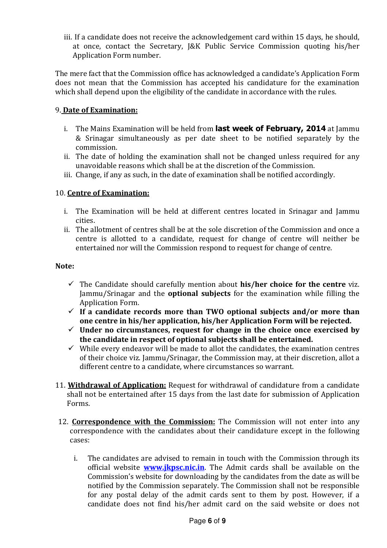iii. If a candidate does not receive the acknowledgement card within 15 days, he should, at once, contact the Secretary, J&K Public Service Commission quoting his/her Application Form number.

The mere fact that the Commission office has acknowledged a candidate's Application Form does not mean that the Commission has accepted his candidature for the examination which shall depend upon the eligibility of the candidate in accordance with the rules.

## 9. Date of Examination:

- i. The Mains Examination will be held from **last week of February, 2014** at Jammu & Srinagar simultaneously as per date sheet to be notified separately by the commission.
- ii. The date of holding the examination shall not be changed unless required for any unavoidable reasons which shall be at the discretion of the Commission.
- iii. Change, if any as such, in the date of examination shall be notified accordingly.

## 10. Centre of Examination:

- i. The Examination will be held at different centres located in Srinagar and Jammu cities.
- ii. The allotment of centres shall be at the sole discretion of the Commission and once a centre is allotted to a candidate, request for change of centre will neither be entertained nor will the Commission respond to request for change of centre.

#### Note:

- $\checkmark$  The Candidate should carefully mention about his/her choice for the centre viz. Jammu/Srinagar and the optional subjects for the examination while filling the Application Form.
- $\checkmark$  If a candidate records more than TWO optional subjects and/or more than one centre in his/her application, his/her Application Form will be rejected.
- $\checkmark$  Under no circumstances, request for change in the choice once exercised by the candidate in respect of optional subjects shall be entertained.
- $\checkmark$  While every endeavor will be made to allot the candidates, the examination centres of their choice viz. Jammu/Srinagar, the Commission may, at their discretion, allot a different centre to a candidate, where circumstances so warrant.
- 11. Withdrawal of Application: Request for withdrawal of candidature from a candidate shall not be entertained after 15 days from the last date for submission of Application Forms.
- 12. Correspondence with the Commission: The Commission will not enter into any correspondence with the candidates about their candidature except in the following cases:
	- i. The candidates are advised to remain in touch with the Commission through its official website **www.jkpsc.nic.in**. The Admit cards shall be available on the Commission's website for downloading by the candidates from the date as will be notified by the Commission separately. The Commission shall not be responsible for any postal delay of the admit cards sent to them by post. However, if a candidate does not find his/her admit card on the said website or does not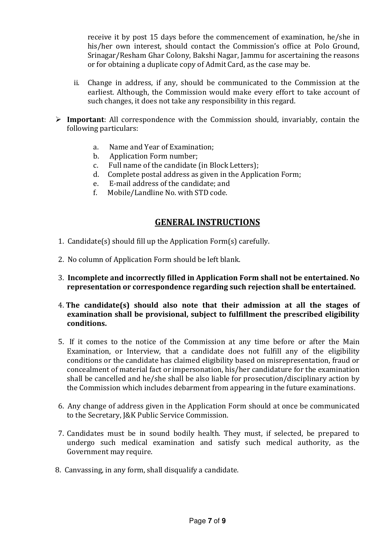receive it by post 15 days before the commencement of examination, he/she in his/her own interest, should contact the Commission's office at Polo Ground, Srinagar/Resham Ghar Colony, Bakshi Nagar, Jammu for ascertaining the reasons or for obtaining a duplicate copy of Admit Card, as the case may be.

- ii. Change in address, if any, should be communicated to the Commission at the earliest. Although, the Commission would make every effort to take account of such changes, it does not take any responsibility in this regard.
- $\triangleright$  Important: All correspondence with the Commission should, invariably, contain the following particulars:
	- a. Name and Year of Examination;
	- b. Application Form number;
	- c. Full name of the candidate (in Block Letters);
	- d. Complete postal address as given in the Application Form;
	- e. E-mail address of the candidate; and
	- f. Mobile/Landline No. with STD code.

## GENERAL INSTRUCTIONS

- 1. Candidate(s) should fill up the Application Form(s) carefully.
- 2. No column of Application Form should be left blank.
- 3. Incomplete and incorrectly filled in Application Form shall not be entertained. No representation or correspondence regarding such rejection shall be entertained.
- 4. The candidate(s) should also note that their admission at all the stages of examination shall be provisional, subject to fulfillment the prescribed eligibility conditions.
- 5. If it comes to the notice of the Commission at any time before or after the Main Examination, or Interview, that a candidate does not fulfill any of the eligibility conditions or the candidate has claimed eligibility based on misrepresentation, fraud or concealment of material fact or impersonation, his/her candidature for the examination shall be cancelled and he/she shall be also liable for prosecution/disciplinary action by the Commission which includes debarment from appearing in the future examinations.
- 6. Any change of address given in the Application Form should at once be communicated to the Secretary, J&K Public Service Commission.
- 7. Candidates must be in sound bodily health. They must, if selected, be prepared to undergo such medical examination and satisfy such medical authority, as the Government may require.
- 8. Canvassing, in any form, shall disqualify a candidate.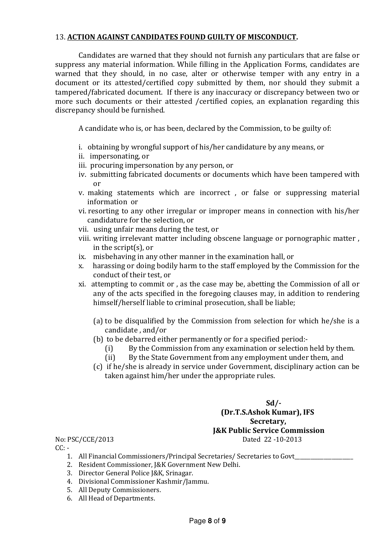#### 13. ACTION AGAINST CANDIDATES FOUND GUILTY OF MISCONDUCT.

 Candidates are warned that they should not furnish any particulars that are false or suppress any material information. While filling in the Application Forms, candidates are warned that they should, in no case, alter or otherwise temper with any entry in a document or its attested/certified copy submitted by them, nor should they submit a tampered/fabricated document. If there is any inaccuracy or discrepancy between two or more such documents or their attested /certified copies, an explanation regarding this discrepancy should be furnished.

A candidate who is, or has been, declared by the Commission, to be guilty of:

- i. obtaining by wrongful support of his/her candidature by any means, or
- ii. impersonating, or
- iii. procuring impersonation by any person, or
- iv. submitting fabricated documents or documents which have been tampered with or
- v. making statements which are incorrect , or false or suppressing material information or
- vi. resorting to any other irregular or improper means in connection with his/her candidature for the selection, or
- vii. using unfair means during the test, or
- viii. writing irrelevant matter including obscene language or pornographic matter , in the script(s), or
- ix. misbehaving in any other manner in the examination hall, or
- x. harassing or doing bodily harm to the staff employed by the Commission for the conduct of their test, or
- xi. attempting to commit or , as the case may be, abetting the Commission of all or any of the acts specified in the foregoing clauses may, in addition to rendering himself/herself liable to criminal prosecution, shall be liable;
	- (a) to be disqualified by the Commission from selection for which he/she is a candidate , and/or
	- (b) to be debarred either permanently or for a specified period:-
		- (i) By the Commission from any examination or selection held by them.
		- (ii) By the State Government from any employment under them, and
	- (c) if he/she is already in service under Government, disciplinary action can be taken against him/her under the appropriate rules.

# Sd/- (Dr.T.S.Ashok Kumar), IFS Secretary, **J&K Public Service Commission**<br>Dated 22-10-2013

No: PSC/CCE/2013  $CC: -$ 

- 1. All Financial Commissioners/Principal Secretaries/ Secretaries to Govt\_
- 2. Resident Commissioner, J&K Government New Delhi.
- 3. Director General Police J&K, Srinagar.
- 4. Divisional Commissioner Kashmir/Jammu.
- 5. All Deputy Commissioners.
- 6. All Head of Departments.